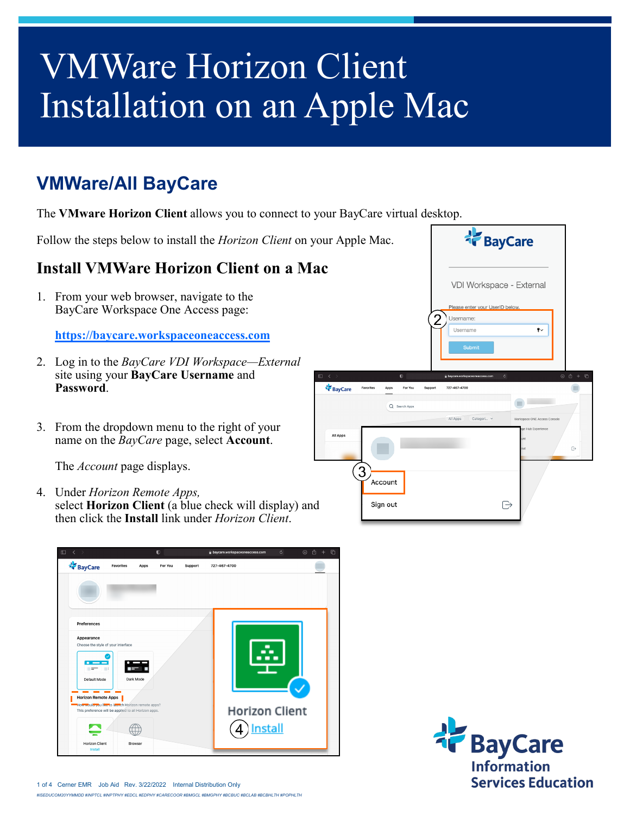## VMWare Horizon Client Installation on an Apple Mac

## **VMWare/All BayCare**

The **VMware Horizon Client** allows you to connect to your BayCare virtual desktop.

Follow the steps below to install the *Horizon Client* on your Apple Mac.

## **Install VMWare Horizon Client on a Mac**

1. From your web browser, navigate to the BayCare Workspace One Access page:

**<https://baycare.workspaceoneaccess.com>**

- 2. Log in to the *BayCare VDI Workspace—External*  site using your **BayCare Username** and **Password**.
- 3. From the dropdown menu to the right of your name on the *BayCare* page, select **Account**.

The *Account* page displays.

4. Under *Horizon Remote Apps,* select **Horizon Client** (a blue check will display) and then click the **Install** link under *Horizon Client*.







1 of 4 Cerner EMR Job Aid Rev. 3/22/2022 Internal Distribution Only *#ISEDUCOM20YYMMDD #INPTCL #INPTPHY #EDCL #EDPHY #CARECOOR #BMGCL #BMGPHY #BCBUC #BCLAB #BCBHLTH #POPHLTH*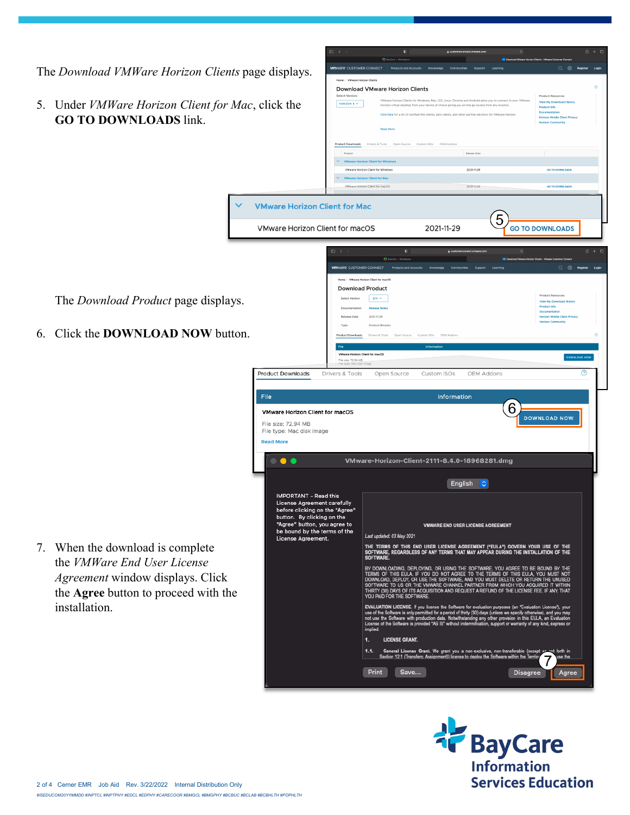

**TF** BayCare **Information Services Education**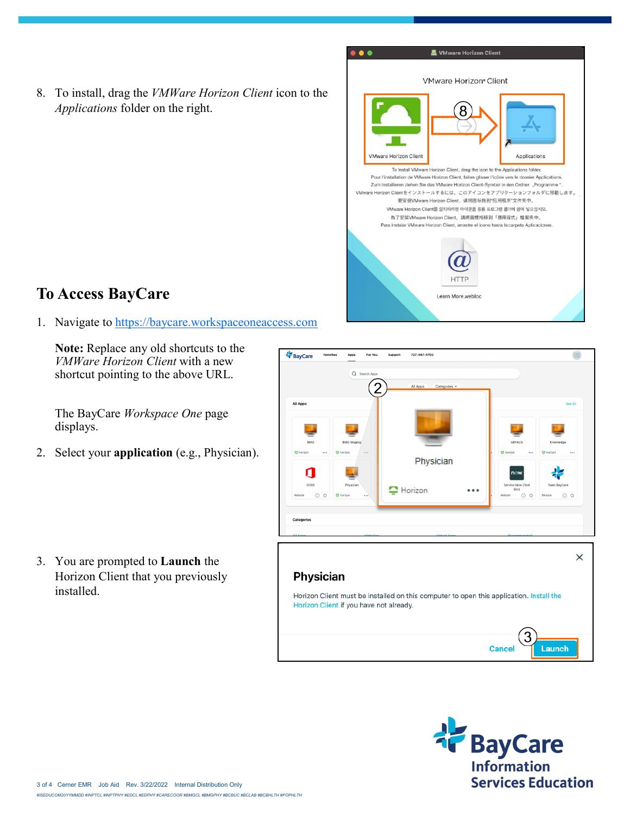8. To install, drag the *VMWare Horizon Client* icon to the *Applications* folder on the right.



## **To Access BayCare**

1. Navigate to<https://baycare.workspaceoneaccess.com>

**Note:** Replace any old shortcuts to the *VMWare Horizon Client* with a new shortcut pointing to the above URL.

The BayCare *Workspace One* page displays.

2. Select your **application** (e.g., Physician).

3. You are prompted to **Launch** the Horizon Client that you previously installed.